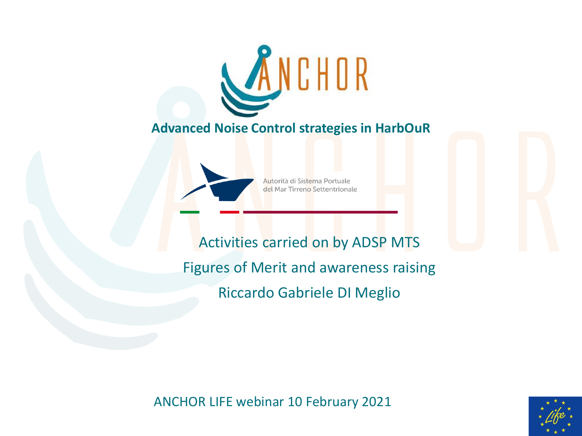

**Advanced Noise Control strategies in HarbOuR**



Autorità di Sistema Portuale del Mar Tirreno Settentrionale

Activities carried on by ADSP MTS Figures of Merit and awareness raising Riccardo Gabriele DI Meglio

ANCHOR LIFE webinar 10 February 2021

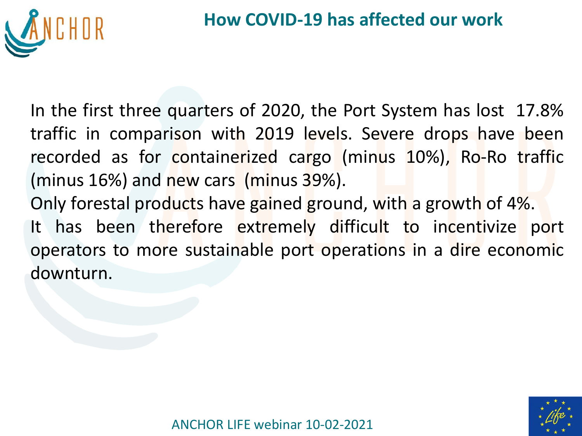

In the first three quarters of 2020, the Port System has lost 17.8% traffic in comparison with 2019 levels. Severe drops have been recorded as for containerized cargo (minus 10%), Ro-Ro traffic (minus 16%) and new cars (minus 39%).

Only forestal products have gained ground, with a growth of 4%. It has been therefore extremely difficult to incentivize port operators to more sustainable port operations in a dire economic downturn.

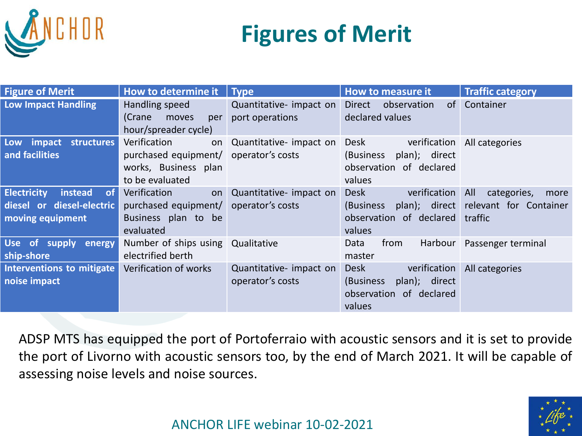

# **Figures of Merit**

| <b>Figure of Merit</b>                                                               | How to determine it                                                                                      | $\blacksquare$ Type                         | How to measure it                                                                        | <b>Traffic category</b>                                     |
|--------------------------------------------------------------------------------------|----------------------------------------------------------------------------------------------------------|---------------------------------------------|------------------------------------------------------------------------------------------|-------------------------------------------------------------|
| <b>Low Impact Handling</b>                                                           | Handling speed<br>(Crane<br>moves<br>per<br>hour/spreader cycle)                                         | Quantitative- impact on<br>port operations  | Direct<br>observation<br>declared values                                                 | of Container                                                |
| Low impact structures<br>and facilities                                              | Verification<br>on<br>purchased equipment/   operator's costs<br>works, Business plan<br>to be evaluated | Quantitative- impact on                     | Desk<br>verification<br>plan); direct<br>(Business<br>observation of declared<br>values  | All categories                                              |
| <b>Electricity</b><br>instead<br>of<br>diesel or diesel-electric<br>moving equipment | Verification<br>on<br>purchased equipment/<br>Business plan to be<br>evaluated                           | Quantitative- impact on<br>operator's costs | Desk<br>verification All<br>(Business<br>observation of declared traffic<br>values       | categories,<br>more<br>plan); direct relevant for Container |
| Use of supply<br>energy<br>ship-shore                                                | Number of ships using<br>electrified berth                                                               | Qualitative                                 | from<br>Harbour<br>Data<br>master                                                        | Passenger terminal                                          |
| Interventions to mitigate<br>noise impact                                            | Verification of works                                                                                    | Quantitative- impact on<br>operator's costs | Desk<br>verification<br>(Business)<br>plan); direct<br>observation of declared<br>values | All categories                                              |

ADSP MTS has equipped the port of Portoferraio with acoustic sensors and it is set to provide the port of Livorno with acoustic sensors too, by the end of March 2021. It will be capable of assessing noise levels and noise sources.

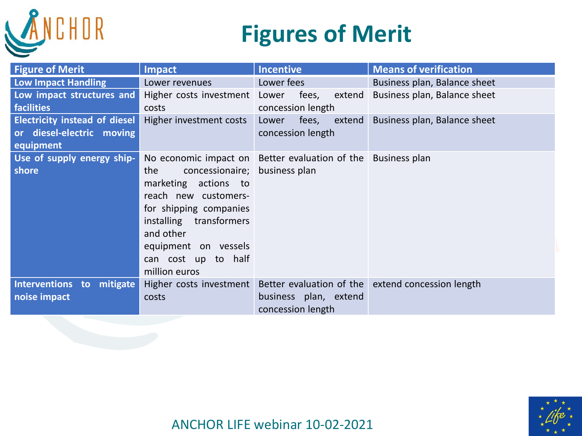

## **Figures of Merit**

| <b>Figure of Merit</b>                                                         | <b>Impact</b>                                                                                                                                                                                                          | <b>Incentive</b>                                             | <b>Means of verification</b>                      |
|--------------------------------------------------------------------------------|------------------------------------------------------------------------------------------------------------------------------------------------------------------------------------------------------------------------|--------------------------------------------------------------|---------------------------------------------------|
| Low Impact Handling                                                            | Lower revenues                                                                                                                                                                                                         | Lower fees                                                   | Business plan, Balance sheet                      |
| Low impact structures and<br><b>facilities</b>                                 | Higher costs investment Lower<br>costs                                                                                                                                                                                 | fees,<br>extend<br>concession length                         | Business plan, Balance sheet                      |
| <b>Electricity instead of diesel</b><br>or diesel-electric moving<br>equipment | Higher investment costs                                                                                                                                                                                                | fees,<br>extend<br>Lower<br>concession length                | Business plan, Balance sheet                      |
| Use of supply energy ship-<br>shore                                            | concessionaire; business plan<br>the<br>marketing actions to<br>reach new customers-<br>for shipping companies<br>installing transformers<br>and other<br>equipment on vessels<br>can cost up to half<br>million euros | No economic impact on Better evaluation of the Business plan |                                                   |
| Interventions to mitigate<br>noise impact                                      | Higher costs investment<br>costs                                                                                                                                                                                       | business plan, extend<br>concession length                   | Better evaluation of the extend concession length |

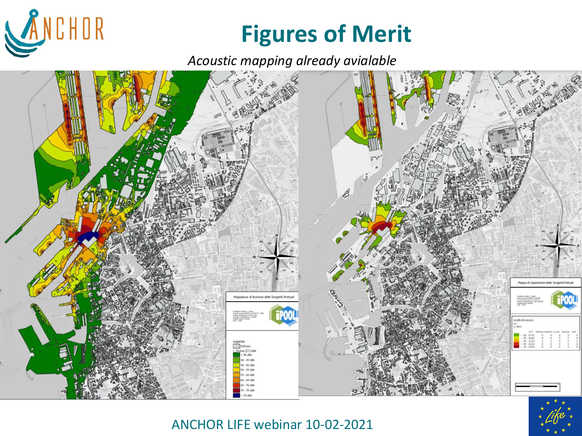

## **Figures of Merit**

*Acoustic mapping already avialable*





ANCHOR LIFE webinar 10-02-2021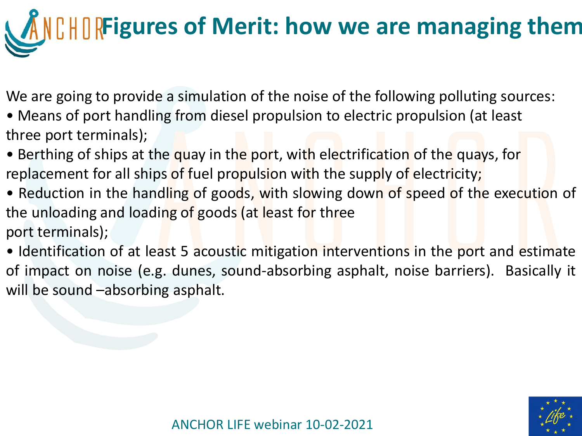# **Figures of Merit: how we are managing them**

We are going to provide a simulation of the noise of the following polluting sources:

- Means of port handling from diesel propulsion to electric propulsion (at least three port terminals);
- Berthing of ships at the quay in the port, with electrification of the quays, for replacement for all ships of fuel propulsion with the supply of electricity;
- Reduction in the handling of goods, with slowing down of speed of the execution of the unloading and loading of goods (at least for three port terminals);
- Identification of at least 5 acoustic mitigation interventions in the port and estimate of impact on noise (e.g. dunes, sound-absorbing asphalt, noise barriers). Basically it will be sound –absorbing asphalt.

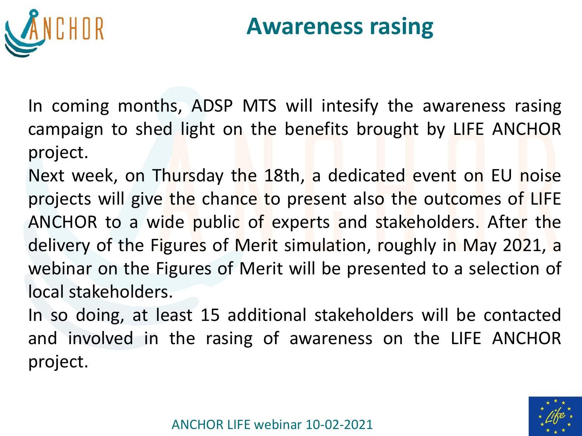

## **Awareness rasing**

In coming months, ADSP MTS will intesify the awareness rasing campaign to shed light on the benefits brought by LIFE ANCHOR project.

Next week, on Thursday the 18th, a dedicated event on EU noise projects will give the chance to present also the outcomes of LIFE ANCHOR to a wide public of experts and stakeholders. After the delivery of the Figures of Merit simulation, roughly in May 2021, a webinar on the Figures of Merit will be presented to a selection of local stakeholders.

In so doing, at least 15 additional stakeholders will be contacted and involved in the rasing of awareness on the LIFE ANCHOR project.